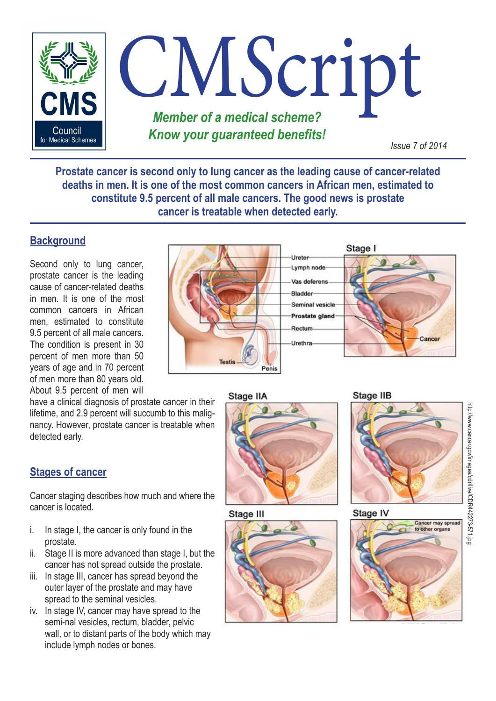

**Prostate cancer is second only to lung cancer as the leading cause of cancer-related deaths in men. It is one of the most common cancers in African men, estimated to constitute 9.5 percent of all male cancers. The good news is prostate cancer is treatable when detected early.**

# **Background**

Second only to lung cancer, prostate cancer is the leading cause of cancer-related deaths in men. It is one of the most common cancers in African men, estimated to constitute 9.5 percent of all male cancers. The condition is present in 30 percent of men more than 50 years of age and in 70 percent of men more than 80 years old. About 9.5 percent of men will

have a clinical diagnosis of prostate cancer in their lifetime, and 2.9 percent will succumb to this malignancy. However, prostate cancer is treatable when detected early.

# **Stages of cancer**

Cancer staging describes how much and where the cancer is located.

- i. In stage I, the cancer is only found in the prostate.
- ii. Stage II is more advanced than stage I, but the cancer has not spread outside the prostate.
- iii. In stage III, cancer has spread beyond the outer layer of the prostate and may have spread to the seminal vesicles.
- iv. In stage IV, cancer may have spread to the semi-nal vesicles, rectum, bladder, pelvic wall, or to distant parts of the body which may include lymph nodes or bones.



Stage IIA



Stage III



#### Stage IIB



#### Stage IV

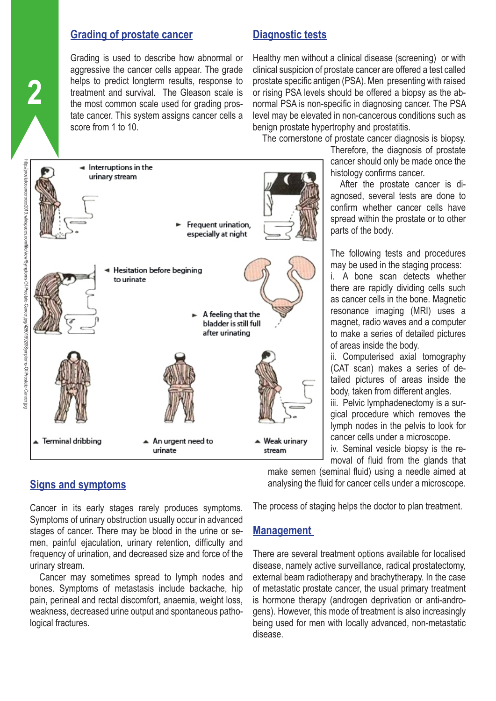## **Grading of prostate cancer**

Grading is used to describe how abnormal or aggressive the cancer cells appear. The grade helps to predict longterm results, response to treatment and survival. The Gleason scale is the most common scale used for grading prostate cancer. This system assigns cancer cells a score from 1 to 10.

# **Diagnostic tests**

Healthy men without a clinical disease (screening) or with clinical suspicion of prostate cancer are offered a test called prostate specific antigen (PSA). Men presenting with raised or rising PSA levels should be offered a biopsy as the abnormal PSA is non-specific in diagnosing cancer. The PSA level may be elevated in non-cancerous conditions such as benign prostate hypertrophy and prostatitis.

The cornerstone of prostate cancer diagnosis is biopsy.

Therefore, the diagnosis of prostate cancer should only be made once the histology confirms cancer.

After the prostate cancer is diagnosed, several tests are done to confirm whether cancer cells have spread within the prostate or to other parts of the body.

The following tests and procedures may be used in the staging process:

i. A bone scan detects whether there are rapidly dividing cells such as cancer cells in the bone. Magnetic resonance imaging (MRI) uses a magnet, radio waves and a computer to make a series of detailed pictures of areas inside the body.

ii. Computerised axial tomography (CAT scan) makes a series of detailed pictures of areas inside the body, taken from different angles.

iii. Pelvic lymphadenectomy is a surgical procedure which removes the lymph nodes in the pelvis to look for cancer cells under a microscope.

iv. Seminal vesicle biopsy is the removal of fluid from the glands that

make semen (seminal fluid) using a needle aimed at analysing the fluid for cancer cells under a microscope.

The process of staging helps the doctor to plan treatment.

#### **Management**

There are several treatment options available for localised disease, namely active surveillance, radical prostatectomy, external beam radiotherapy and brachytherapy. In the case of metastatic prostate cancer, the usual primary treatment is hormone therapy (androgen deprivation or anti-androgens). However, this mode of treatment is also increasingly being used for men with locally advanced, non-metastatic disease.





# **Signs and symptoms**

Cancer in its early stages rarely produces symptoms. Symptoms of urinary obstruction usually occur in advanced stages of cancer. There may be blood in the urine or semen, painful ejaculation, urinary retention, difficulty and frequency of urination, and decreased size and force of the urinary stream.

Cancer may sometimes spread to lymph nodes and bones. Symptoms of metastasis include backache, hip pain, perineal and rectal discomfort, anaemia, weight loss, weakness, decreased urine output and spontaneous pathological fractures.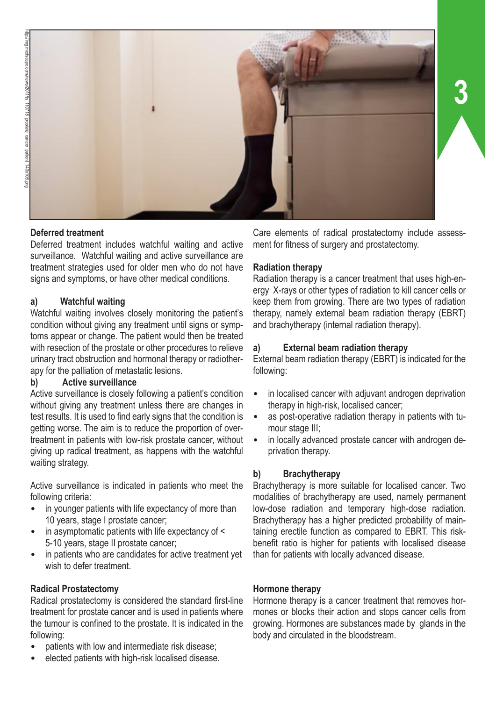

## **Deferred treatment**

Deferred treatment includes watchful waiting and active surveillance. Watchful waiting and active surveillance are treatment strategies used for older men who do not have signs and symptoms, or have other medical conditions.

#### **a) Watchful waiting**

Watchful waiting involves closely monitoring the patient's condition without giving any treatment until signs or symptoms appear or change. The patient would then be treated with resection of the prostate or other procedures to relieve urinary tract obstruction and hormonal therapy or radiotherapy for the palliation of metastatic lesions.

#### **b) Active surveillance**

Active surveillance is closely following a patient's condition without giving any treatment unless there are changes in test results. It is used to find early signs that the condition is getting worse. The aim is to reduce the proportion of overtreatment in patients with low-risk prostate cancer, without giving up radical treatment, as happens with the watchful waiting strategy.

Active surveillance is indicated in patients who meet the following criteria:

- in younger patients with life expectancy of more than 10 years, stage I prostate cancer;
- in asymptomatic patients with life expectancy of  $\leq$ 5-10 years, stage II prostate cancer;
- in patients who are candidates for active treatment yet wish to defer treatment.

#### **Radical Prostatectomy**

Radical prostatectomy is considered the standard first-line treatment for prostate cancer and is used in patients where the tumour is confined to the prostate. It is indicated in the following:

- patients with low and intermediate risk disease;
- elected patients with high-risk localised disease.

Care elements of radical prostatectomy include assessment for fitness of surgery and prostatectomy.

**3**

#### **Radiation therapy**

Radiation therapy is a cancer treatment that uses high-energy X-rays or other types of radiation to kill cancer cells or keep them from growing. There are two types of radiation therapy, namely external beam radiation therapy (EBRT) and brachytherapy (internal radiation therapy).

#### **a) External beam radiation therapy**

External beam radiation therapy (EBRT) is indicated for the following:

- in localised cancer with adjuvant androgen deprivation therapy in high-risk, localised cancer;
- as post-operative radiation therapy in patients with tumour stage III;
- in locally advanced prostate cancer with androgen deprivation therapy.

# **b) Brachytherapy**

Brachytherapy is more suitable for localised cancer. Two modalities of brachytherapy are used, namely permanent low-dose radiation and temporary high-dose radiation. Brachytherapy has a higher predicted probability of maintaining erectile function as compared to EBRT. This riskbenefit ratio is higher for patients with localised disease than for patients with locally advanced disease.

#### **Hormone therapy**

Hormone therapy is a cancer treatment that removes hormones or blocks their action and stops cancer cells from growing. Hormones are substances made by glands in the body and circulated in the bloodstream.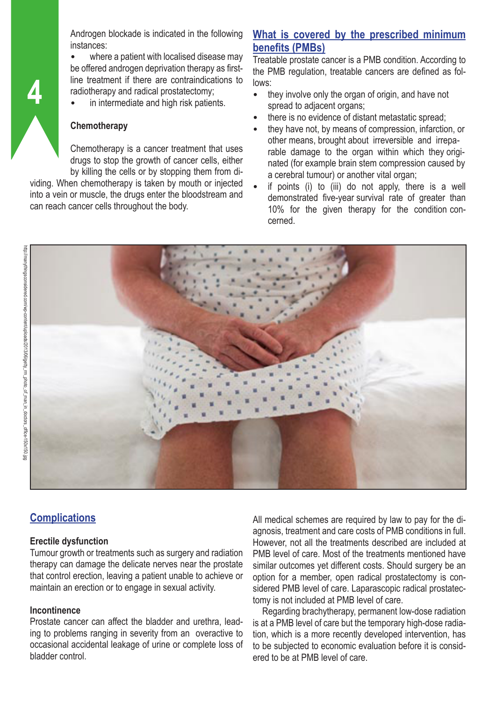Androgen blockade is indicated in the following instances:

where a patient with localised disease may be offered androgen deprivation therapy as firstline treatment if there are contraindications to radiotherapy and radical prostatectomy;

in intermediate and high risk patients.

#### **Chemotherapy**

Chemotherapy is a cancer treatment that uses drugs to stop the growth of cancer cells, either by killing the cells or by stopping them from di-

viding. When chemotherapy is taken by mouth or injected into a vein or muscle, the drugs enter the bloodstream and can reach cancer cells throughout the body.

# **What is covered by the prescribed minimum benefits (PMBs)**

Treatable prostate cancer is a PMB condition. According to the PMB regulation, treatable cancers are defined as follows:

- they involve only the organ of origin, and have not spread to adjacent organs;
- there is no evidence of distant metastatic spread;
- they have not, by means of compression, infarction, or other means, brought about irreversible and irreparable damage to the organ within which they originated (for example brain stem compression caused by a cerebral tumour) or another vital organ;
- if points  $(i)$  to  $(iii)$  do not apply, there is a well demonstrated five-year survival rate of greater than 10% for the given therapy for the condition concerned.



**4**

# **Complications**

#### **Erectile dysfunction**

Tumour growth or treatments such as surgery and radiation therapy can damage the delicate nerves near the prostate that control erection, leaving a patient unable to achieve or maintain an erection or to engage in sexual activity.

#### **Incontinence**

Prostate cancer can affect the bladder and urethra, leading to problems ranging in severity from an overactive to occasional accidental leakage of urine or complete loss of bladder control.

All medical schemes are required by law to pay for the diagnosis, treatment and care costs of PMB conditions in full. However, not all the treatments described are included at PMB level of care. Most of the treatments mentioned have similar outcomes yet different costs. Should surgery be an option for a member, open radical prostatectomy is considered PMB level of care. Laparascopic radical prostatectomy is not included at PMB level of care.

Regarding brachytherapy, permanent low-dose radiation is at a PMB level of care but the temporary high-dose radiation, which is a more recently developed intervention, has to be subjected to economic evaluation before it is considered to be at PMB level of care.